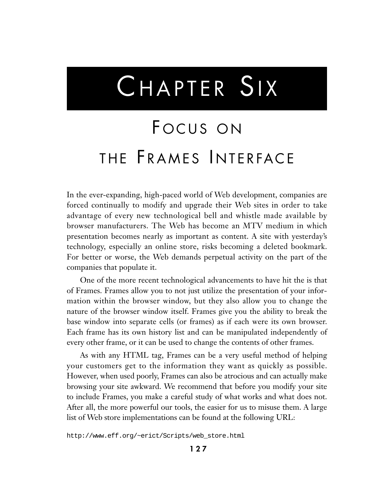# CHAPTER SIX

## FOCUS ON THE FRAMES INTERFACE

In the ever-expanding, high-paced world of Web development, companies are forced continually to modify and upgrade their Web sites in order to take advantage of every new technological bell and whistle made available by browser manufacturers. The Web has become an MTV medium in which presentation becomes nearly as important as content. A site with yesterday's technology, especially an online store, risks becoming a deleted bookmark. For better or worse, the Web demands perpetual activity on the part of the companies that populate it.

One of the more recent technological advancements to have hit the is that of Frames. Frames allow you to not just utilize the presentation of your information within the browser window, but they also allow you to change the nature of the browser window itself. Frames give you the ability to break the base window into separate cells (or frames) as if each were its own browser. Each frame has its own history list and can be manipulated independently of every other frame, or it can be used to change the contents of other frames.

As with any HTML tag, Frames can be a very useful method of helping your customers get to the information they want as quickly as possible. However, when used poorly, Frames can also be atrocious and can actually make browsing your site awkward. We recommend that before you modify your site to include Frames, you make a careful study of what works and what does not. After all, the more powerful our tools, the easier for us to misuse them. A large list of Web store implementations can be found at the following URL:

http://www.eff.org/~erict/Scripts/web\_store.html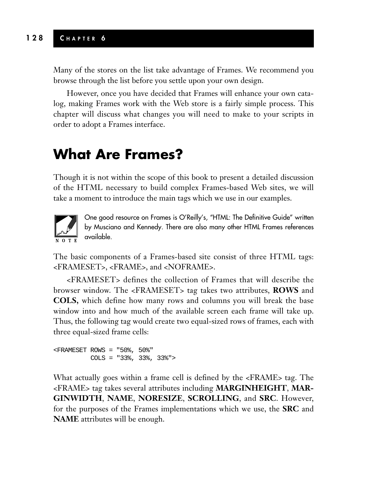Many of the stores on the list take advantage of Frames. We recommend you browse through the list before you settle upon your own design.

However, once you have decided that Frames will enhance your own catalog, making Frames work with the Web store is a fairly simple process. This chapter will discuss what changes you will need to make to your scripts in order to adopt a Frames interface.

### **What Are Frames?**

Though it is not within the scope of this book to present a detailed discussion of the HTML necessary to build complex Frames-based Web sites, we will take a moment to introduce the main tags which we use in our examples.



One good resource on Frames is O'Reilly's, "HTML: The Definitive Guide" written by Musciano and Kennedy. There are also many other HTML Frames references available.

The basic components of a Frames-based site consist of three HTML tags: <FRAMESET>, <FRAME>, and <NOFRAME>.

<FRAMESET> defines the collection of Frames that will describe the browser window. The <FRAMESET> tag takes two attributes, **ROWS** and **COLS,** which define how many rows and columns you will break the base window into and how much of the available screen each frame will take up. Thus, the following tag would create two equal-sized rows of frames, each with three equal-sized frame cells:

<FRAMESET ROWS = "50%, 50%" COLS = "33%, 33%, 33%">

What actually goes within a frame cell is defined by the <FRAME> tag. The <FRAME> tag takes several attributes including **MARGINHEIGHT**, **MAR-GINWIDTH**, **NAME**, **NORESIZE**, **SCROLLING**, and **SRC**. However, for the purposes of the Frames implementations which we use, the **SRC** and **NAME** attributes will be enough.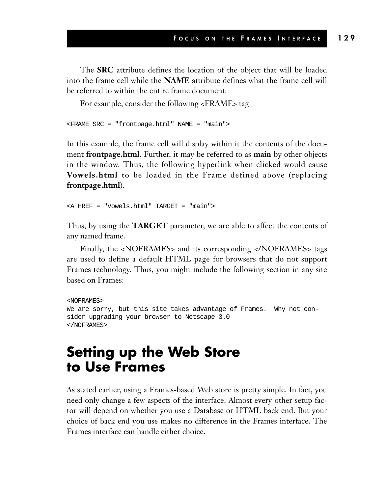The **SRC** attribute defines the location of the object that will be loaded into the frame cell while the **NAME** attribute defines what the frame cell will be referred to within the entire frame document.

For example, consider the following <FRAME> tag

<FRAME SRC = "frontpage.html" NAME = "main">

In this example, the frame cell will display within it the contents of the document **frontpage.html**. Further, it may be referred to as **main** by other objects in the window. Thus, the following hyperlink when clicked would cause **Vowels.html** to be loaded in the Frame defined above (replacing **frontpage.html**).

```
<A HREF = "Vowels.html" TARGET = "main">
```
Thus, by using the **TARGET** parameter, we are able to affect the contents of any named frame.

Finally, the <NOFRAMES> and its corresponding </NOFRAMES> tags are used to define a default HTML page for browsers that do not support Frames technology. Thus, you might include the following section in any site based on Frames:

```
<NOFRAMES>
We are sorry, but this site takes advantage of Frames. Why not con-
sider upgrading your browser to Netscape 3.0
</NOFRAMES>
```
#### **Setting up the Web Store to Use Frames**

As stated earlier, using a Frames-based Web store is pretty simple. In fact, you need only change a few aspects of the interface. Almost every other setup factor will depend on whether you use a Database or HTML back end. But your choice of back end you use makes no difference in the Frames interface. The Frames interface can handle either choice.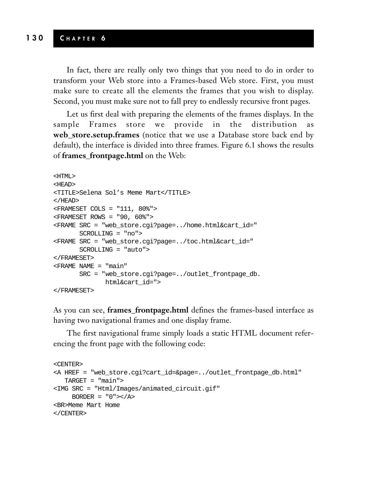In fact, there are really only two things that you need to do in order to transform your Web store into a Frames-based Web store. First, you must make sure to create all the elements the frames that you wish to display. Second, you must make sure not to fall prey to endlessly recursive front pages.

Let us first deal with preparing the elements of the frames displays. In the sample Frames store we provide in the distribution **web\_store.setup.frames** (notice that we use a Database store back end by default), the interface is divided into three frames. Figure 6.1 shows the results of **frames\_frontpage.html** on the Web:

```
<HTML>
<HEAD>
<TITLE>Selena Sol's Meme Mart</TITLE>
</HEAD>
<FRAMESET COLS = "111, 80%">
<FRAMESET ROWS = "90, 60%">
<FRAME SRC = "web_store.cgi?page=../home.html&cart_id="
       SCROLLING = "no">
<FRAME SRC = "web_store.cgi?page=../toc.html&cart_id="
      SCROLLING = "auto">
</FRAMESET>
<FRAME NAME = "main"
       SRC = "web_store.cgi?page=../outlet_frontpage_db.
             html&cart_id=">
</FRAMESET>
```
As you can see, **frames\_frontpage.html** defines the frames-based interface as having two navigational frames and one display frame.

The first navigational frame simply loads a static HTML document referencing the front page with the following code:

```
<CENTER>
<A HREF = "web_store.cgi?cart_id=&page=../outlet_frontpage_db.html"
  TARGET = "main">
<IMG SRC = "Html/Images/animated_circuit.gif"
    BORDER = "0">>/A><BR>Meme Mart Home
</CENTER>
```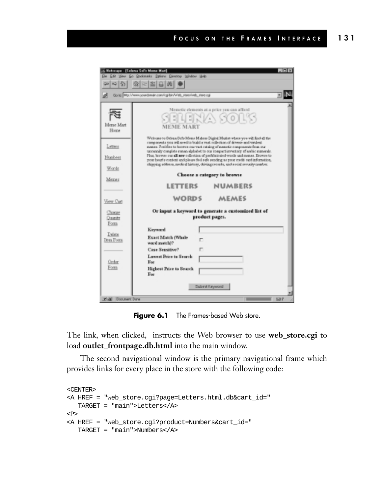|                                                                      | 5 Notscape - (Solona Sal's Mane Mart)                                                                                                                                                                                                                                                                                                                                                                                                                                                                                                                                                                                                                                                                                                              | <b>OTK</b> |
|----------------------------------------------------------------------|----------------------------------------------------------------------------------------------------------------------------------------------------------------------------------------------------------------------------------------------------------------------------------------------------------------------------------------------------------------------------------------------------------------------------------------------------------------------------------------------------------------------------------------------------------------------------------------------------------------------------------------------------------------------------------------------------------------------------------------------------|------------|
| Ele Edit View Go Bookmarks Episons Directory Virabor Help            |                                                                                                                                                                                                                                                                                                                                                                                                                                                                                                                                                                                                                                                                                                                                                    |            |
|                                                                      | 에~[5] @ [2] 2] 凸 [0] ●                                                                                                                                                                                                                                                                                                                                                                                                                                                                                                                                                                                                                                                                                                                             |            |
|                                                                      | Go to Mg.//www.soadsman.com/opitar/Web_steer/web_stee.np                                                                                                                                                                                                                                                                                                                                                                                                                                                                                                                                                                                                                                                                                           |            |
| Merse Mart<br>35 page<br>Letters<br><b>Numbers</b><br>Words<br>MEXER | Memotic elements at a price you can afford<br>- 1 카지스 SCO/ 48<br><b>MEME MART</b><br>Welcome to Selena Selly Mome Makers Digital Masket where you will find all the<br>components you will need to build a wast rollertion of downse and visulent.<br>memes. Feel free to becove our vast cutalog of memetic components from our<br>unneanly complete roman alphabet to our compact inventory of erebic manerals.<br>Plus, browse our all new collection of prefelorioused words and memes. Browne to<br>your heari's content and please feel sufe sending as your credit rant information,<br>shipping; uddesse, mode al history, driving meerle, and social security musicar.<br>Choose a category to browse<br><b>LETTERS</b><br><b>NUMBERS</b> |            |
| View Carl                                                            | <b>WORDS</b><br>MEMES                                                                                                                                                                                                                                                                                                                                                                                                                                                                                                                                                                                                                                                                                                                              |            |
| Classe<br>Quanty<br>Form.                                            | Or input a keyword to generate a customized list of<br>product pages.                                                                                                                                                                                                                                                                                                                                                                                                                                                                                                                                                                                                                                                                              |            |
| Delate<br>Dem Form<br>Order<br>Form                                  | Keyward<br>Exact Match (Whale<br>word match??<br>Case Sensitive?<br>┍<br>Lawant Price to Search<br>For<br><b>Highest Price to Search</b><br>For<br>Submit Keyword                                                                                                                                                                                                                                                                                                                                                                                                                                                                                                                                                                                  |            |

**Figure 6.1** The Frames-based Web store.

The link, when clicked, instructs the Web browser to use **web\_store.cgi** to load **outlet\_frontpage.db.html** into the main window.

The second navigational window is the primary navigational frame which provides links for every place in the store with the following code:

```
<CENTER>
<A HREF = "web_store.cgi?page=Letters.html.db&cart_id="
   TARGET = "main">Letters</A>
P<A HREF = "web_store.cgi?product=Numbers&cart_id="
   TARGET = "main">Numbers</A>
```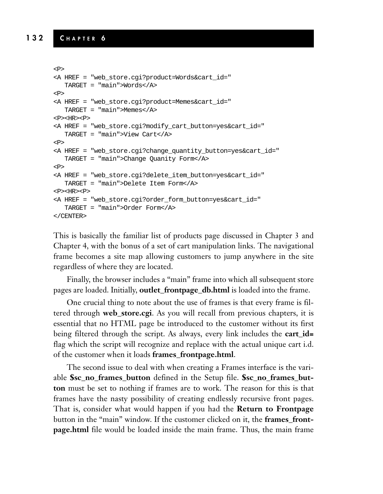```
<P>
<A HREF = "web_store.cgi?product=Words&cart_id="
  TARGET = "main">Words</A>
<P>
<A HREF = "web_store.cgi?product=Memes&cart_id="
  TARGET = "main">Memes</A>
<P><HR><P>
<A HREF = "web_store.cgi?modify_cart_button=yes&cart_id="
  TARGET = "main">View Cart</A>
<P>
<A HREF = "web_store.cgi?change_quantity_button=yes&cart_id="
  TARGET = "main">Change Quanity Form</A>
P<A HREF = "web_store.cgi?delete_item_button=yes&cart_id="
  TARGET = "main">Delete Item Form</A>
<P><HR><P>
<A HREF = "web_store.cgi?order_form_button=yes&cart_id="
  TARGET = "main">Order Form</A>
</CENTER>
```
This is basically the familiar list of products page discussed in Chapter 3 and Chapter 4, with the bonus of a set of cart manipulation links. The navigational frame becomes a site map allowing customers to jump anywhere in the site regardless of where they are located.

Finally, the browser includes a "main" frame into which all subsequent store pages are loaded. Initially, **outlet\_frontpage\_db.html** is loaded into the frame.

One crucial thing to note about the use of frames is that every frame is filtered through **web\_store.cgi**. As you will recall from previous chapters, it is essential that no HTML page be introduced to the customer without its first being filtered through the script. As always, every link includes the **cart\_id=** flag which the script will recognize and replace with the actual unique cart i.d. of the customer when it loads **frames\_frontpage.html**.

The second issue to deal with when creating a Frames interface is the variable **\$sc\_no\_frames\_button** defined in the Setup file. **\$sc\_no\_frames\_button** must be set to nothing if frames are to work. The reason for this is that frames have the nasty possibility of creating endlessly recursive front pages. That is, consider what would happen if you had the **Return to Frontpage** button in the "main" window. If the customer clicked on it, the **frames\_frontpage.html** file would be loaded inside the main frame. Thus, the main frame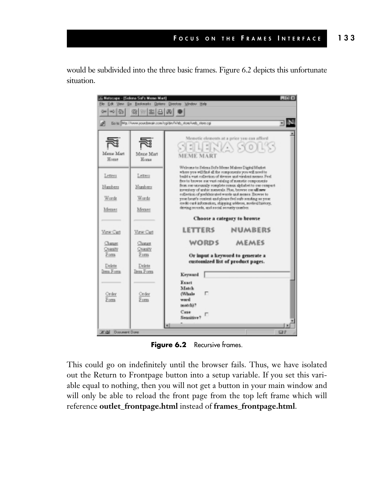would be subdivided into the three basic frames. Figure 6.2 depicts this unfortunate situation.



**Figure 6.2** Recursive frames.

This could go on indefinitely until the browser fails. Thus, we have isolated out the Return to Frontpage button into a setup variable. If you set this variable equal to nothing, then you will not get a button in your main window and will only be able to reload the front page from the top left frame which will reference **outlet\_frontpage.html** instead of **frames\_frontpage.html**.